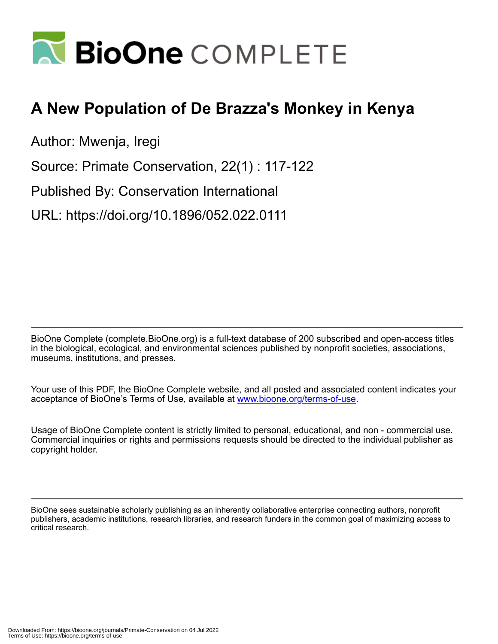

# **A New Population of De Brazza's Monkey in Kenya**

Author: Mwenja, Iregi

Source: Primate Conservation, 22(1) : 117-122

Published By: Conservation International

URL: https://doi.org/10.1896/052.022.0111

BioOne Complete (complete.BioOne.org) is a full-text database of 200 subscribed and open-access titles in the biological, ecological, and environmental sciences published by nonprofit societies, associations, museums, institutions, and presses.

Your use of this PDF, the BioOne Complete website, and all posted and associated content indicates your acceptance of BioOne's Terms of Use, available at www.bioone.org/terms-of-use.

Usage of BioOne Complete content is strictly limited to personal, educational, and non - commercial use. Commercial inquiries or rights and permissions requests should be directed to the individual publisher as copyright holder.

BioOne sees sustainable scholarly publishing as an inherently collaborative enterprise connecting authors, nonprofit publishers, academic institutions, research libraries, and research funders in the common goal of maximizing access to critical research.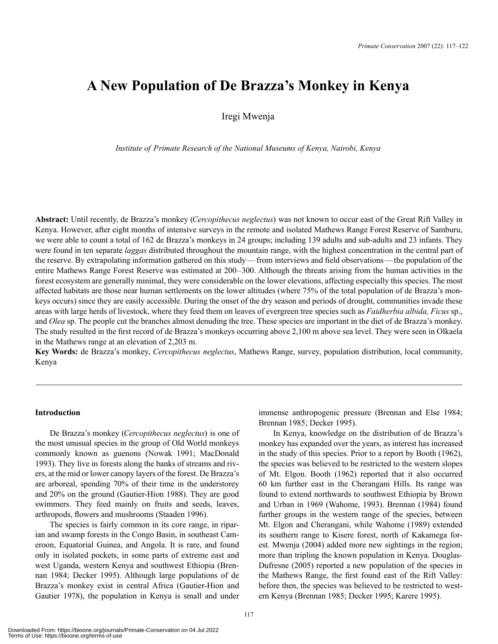# **A New Population of De Brazza's Monkey in Kenya**

Iregi Mwenja

*Institute of Primate Research of the National Museums of Kenya, Nairobi, Kenya*

**Abstract:** Until recently, de Brazza's monkey (*Cercopithecus neglectus*) was not known to occur east of the Great Rift Valley in Kenya. However, after eight months of intensive surveys in the remote and isolated Mathews Range Forest Reserve of Samburu, we were able to count a total of 162 de Brazza's monkeys in 24 groups; including 139 adults and sub-adults and 23 infants. They were found in ten separate *laggas* distributed throughout the mountain range, with the highest concentration in the central part of the reserve. By extrapolating information gathered on this study—from interviews and field observations—the population of the entire Mathews Range Forest Reserve was estimated at 200–300. Although the threats arising from the human activities in the forest ecosystem are generally minimal, they were considerable on the lower elevations, affecting especially this species. The most affected habitats are those near human settlements on the lower altitudes (where 75% of the total population of de Brazza's monkeys occurs) since they are easily accessible. During the onset of the dry season and periods of drought, communities invade these areas with large herds of livestock, where they feed them on leaves of evergreen tree species such as *Faidherbia albida, Ficus* sp., and *Olea* sp. The people cut the branches almost denuding the tree. These species are important in the diet of de Brazza's monkey. The study resulted in the first record of de Brazza's monkeys occurring above 2,100 m above sea level. They were seen in Olkaela in the Mathews range at an elevation of 2,203 m.

**Key Words:** de Brazza's monkey, *Cercopithecus neglectus*, Mathews Range, survey, population distribution, local community, Kenya

## **Introduction**

De Brazza's monkey (*Cercopithecus neglectus*) is one of the most unusual species in the group of Old World monkeys commonly known as guenons (Nowak 1991; MacDonald 1993). They live in forests along the banks of streams and rivers, at the mid or lower canopy layers of the forest. De Brazza's are arboreal, spending 70% of their time in the understorey and 20% on the ground (Gautier-Hion 1988). They are good swimmers. They feed mainly on fruits and seeds, leaves, arthropods, flowers and mushrooms (Staaden 1996).

The species is fairly common in its core range, in riparian and swamp forests in the Congo Basin, in southeast Cameroon, Equatorial Guinea, and Angola. It is rare, and found only in isolated pockets, in some parts of extreme east and west Uganda, western Kenya and southwest Ethiopia (Brennan 1984; Decker 1995). Although large populations of de Brazza's monkey exist in central Africa (Gautier-Hion and Gautier 1978), the population in Kenya is small and under immense anthropogenic pressure (Brennan and Else 1984; Brennan 1985; Decker 1995).

In Kenya, knowledge on the distribution of de Brazza's monkey has expanded over the years, as interest has increased in the study of this species. Prior to a report by Booth (1962), the species was believed to be restricted to the western slopes of Mt. Elgon. Booth (1962) reported that it also occurred 60 km further east in the Cherangani Hills. Its range was found to extend northwards to southwest Ethiopia by Brown and Urban in 1969 (Wahome, 1993). Brennan (1984) found further groups in the western range of the species, between Mt. Elgon and Cherangani, while Wahome (1989) extended its southern range to Kisere forest, north of Kakamega forest. Mwenja (2004) added more new sightings in the region; more than tripling the known population in Kenya. Douglas-Dufresne (2005) reported a new population of the species in the Mathews Range, the first found east of the Rift Valley: before then, the species was believed to be restricted to western Kenya (Brennan 1985; Decker 1995; Karere 1995).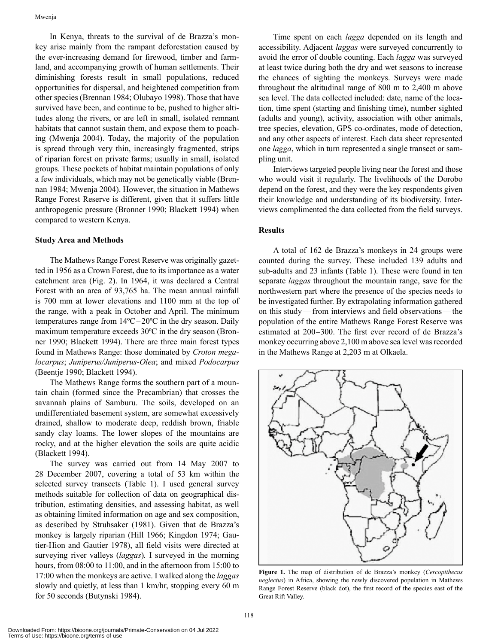In Kenya, threats to the survival of de Brazza's monkey arise mainly from the rampant deforestation caused by the ever-increasing demand for firewood, timber and farmland, and accompanying growth of human settlements. Their diminishing forests result in small populations, reduced opportunities for dispersal, and heightened competition from other species (Brennan 1984; Olubayo 1998). Those that have survived have been, and continue to be, pushed to higher altitudes along the rivers, or are left in small, isolated remnant habitats that cannot sustain them, and expose them to poaching (Mwenja 2004). Today, the majority of the population is spread through very thin, increasingly fragmented, strips of riparian forest on private farms; usually in small, isolated groups. These pockets of habitat maintain populations of only a few individuals, which may not be genetically viable (Brennan 1984; Mwenja 2004). However, the situation in Mathews Range Forest Reserve is different, given that it suffers little anthropogenic pressure (Bronner 1990; Blackett 1994) when compared to western Kenya.

#### **Study Area and Methods**

The Mathews Range Forest Reserve was originally gazetted in 1956 as a Crown Forest, due to its importance as a water catchment area (Fig. 2). In 1964, it was declared a Central Forest with an area of 93,765 ha. The mean annual rainfall is 700 mm at lower elevations and 1100 mm at the top of the range, with a peak in October and April. The minimum temperatures range from 14ºC–20ºC in the dry season. Daily maximum temperature exceeds 30ºC in the dry season (Bronner 1990; Blackett 1994). There are three main forest types found in Mathews Range: those dominated by *Croton megalocarpus*; *Juniperus/Juniperus-Olea*; and mixed *Podocarpus* (Beentje 1990; Blackett 1994).

The Mathews Range forms the southern part of a mountain chain (formed since the Precambrian) that crosses the savannah plains of Samburu. The soils, developed on an undifferentiated basement system, are somewhat excessively drained, shallow to moderate deep, reddish brown, friable sandy clay loams. The lower slopes of the mountains are rocky, and at the higher elevation the soils are quite acidic (Blackett 1994).

The survey was carried out from 14 May 2007 to 28 December 2007, covering a total of 53 km within the selected survey transects (Table 1). I used general survey methods suitable for collection of data on geographical distribution, estimating densities, and assessing habitat, as well as obtaining limited information on age and sex composition, as described by Struhsaker (1981). Given that de Brazza's monkey is largely riparian (Hill 1966; Kingdon 1974; Gautier-Hion and Gautier 1978), all field visits were directed at surveying river valleys (*laggas*)*.* I surveyed in the morning hours, from 08:00 to 11:00, and in the afternoon from 15:00 to 17:00 when the monkeys are active. I walked along the *laggas* slowly and quietly, at less than 1 km/hr, stopping every 60 m for 50 seconds (Butynski 1984).

Time spent on each *lagga* depended on its length and accessibility. Adjacent *laggas* were surveyed concurrently to avoid the error of double counting. Each *lagga* was surveyed at least twice during both the dry and wet seasons to increase the chances of sighting the monkeys. Surveys were made throughout the altitudinal range of 800 m to 2,400 m above sea level. The data collected included: date, name of the location, time spent (starting and finishing time), number sighted (adults and young), activity, association with other animals, tree species, elevation, GPS co-ordinates, mode of detection, and any other aspects of interest. Each data sheet represented one *lagga*, which in turn represented a single transect or sampling unit.

Interviews targeted people living near the forest and those who would visit it regularly. The livelihoods of the Dorobo depend on the forest, and they were the key respondents given their knowledge and understanding of its biodiversity. Interviews complimented the data collected from the field surveys.

# **Results**

A total of 162 de Brazza's monkeys in 24 groups were counted during the survey. These included 139 adults and sub-adults and 23 infants (Table 1). These were found in ten separate *laggas* throughout the mountain range, save for the northwestern part where the presence of the species needs to be investigated further. By extrapolating information gathered on this study—from interviews and field observations—the population of the entire Mathews Range Forest Reserve was estimated at 200–300. The first ever record of de Brazza's monkey occurring above 2,100 m above sea level was recorded in the Mathews Range at 2,203 m at Olkaela.



**Figure 1.** The map of distribution of de Brazza's monkey (*Cercopithecus neglectus*) in Africa, showing the newly discovered population in Mathews Range Forest Reserve (black dot), the first record of the species east of the Great Rift Valley.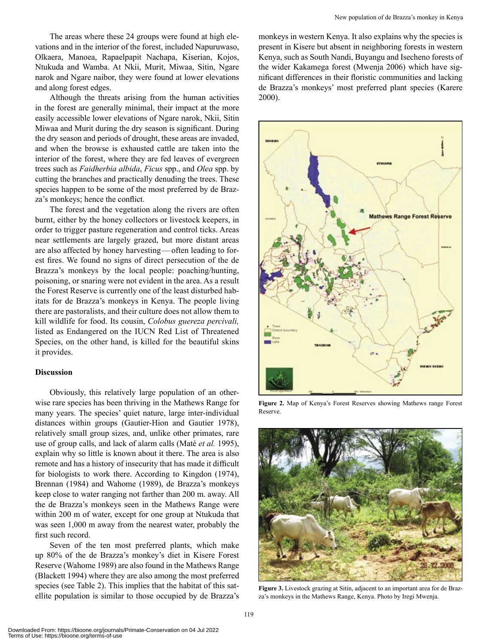The areas where these 24 groups were found at high elevations and in the interior of the forest, included Napuruwaso, Olkaera, Manoea, Rapaelpapit Nachapa, Kiserian, Kojos, Ntukuda and Wamba. At Nkii, Murit, Miwaa, Sitin, Ngare narok and Ngare naibor, they were found at lower elevations and along forest edges.

Although the threats arising from the human activities in the forest are generally minimal, their impact at the more easily accessible lower elevations of Ngare narok, Nkii, Sitin Miwaa and Murit during the dry season is significant. During the dry season and periods of drought, these areas are invaded, and when the browse is exhausted cattle are taken into the interior of the forest, where they are fed leaves of evergreen trees such as *Faidherbia albida*, *Ficus* spp., and *Olea* spp. by cutting the branches and practically denuding the trees. These species happen to be some of the most preferred by de Braz za's monkeys; hence the conflict.

The forest and the vegetation along the rivers are often burnt, either by the honey collectors or livestock keepers, in order to trigger pasture regeneration and control ticks. Areas near settlements are largely grazed, but more distant areas are also affected by honey harvesting—often leading to forest fires. We found no signs of direct persecution of the de Brazza's monkeys by the local people: poaching/hunting, poisoning, or snaring were not evident in the area. As a result the Forest Reserve is currently one of the least disturbed habitats for de Brazza's monkeys in Kenya. The people living there are pastoralists, and their culture does not allow them to kill wildlife for food. Its cousin, *Colobus guereza percivali,* listed as Endangered on the IUCN Red List of Threatened Species, on the other hand, is killed for the beautiful skins it provides.

### **Discussion**

Obviously, this relatively large population of an otherwise rare species has been thriving in the Mathews Range for many years. The species' quiet nature, large inter-individual distances within groups (Gautier-Hion and Gautier 1978), relatively small group sizes, and, unlike other primates, rare use of group calls, and lack of alarm calls (Maté *et al.* 1995), explain why so little is known about it there. The area is also remote and has a history of insecurity that has made it difficult for biologists to work there. According to Kingdon (1974), Brennan (1984) and Wahome (1989), de Brazza's monkeys keep close to water ranging not farther than 200 m. away. All the de Brazza's monkeys seen in the Mathews Range were within 200 m of water, except for one group at Ntukuda that was seen 1,000 m away from the nearest water, probably the first such record.

Seven of the ten most preferred plants, which make up 80% of the de Brazza's monkey's diet in Kisere Forest Reserve (Wahome 1989) are also found in the Mathews Range (Blackett 1994) where they are also among the most preferred species (see Table 2). This implies that the habitat of this satellite population is similar to those occupied by de Brazza's

monkeys in western Kenya. It also explains why the species is present in Kisere but absent in neighboring forests in western Kenya, such as South Nandi, Buyangu and Isecheno forests of the wider Kakamega forest (Mwenja 2006) which have significant differences in their floristic communities and lacking de Brazza's monkeys' most preferred plant species (Karere 2000).



**Figure 2.** Map of Kenya's Forest Reserves showing Mathews range Forest Reserve.



**Figure 3.** Livestock grazing at Sitin, adjacent to an important area for de Brazza's monkeys in the Mathews Range, Kenya. Photo by Iregi Mwenja.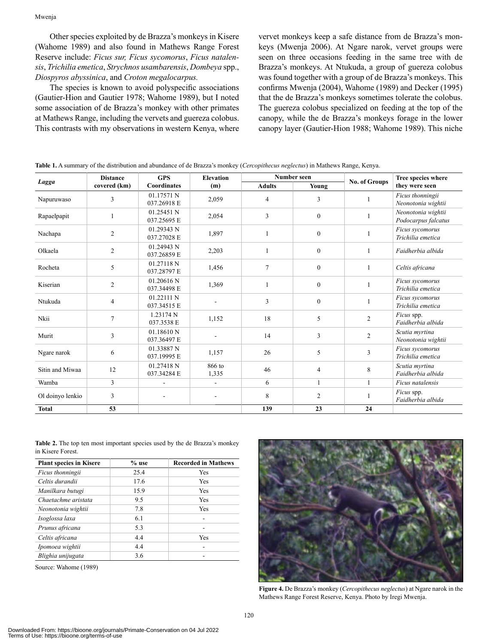Other species exploited by de Brazza's monkeys in Kisere (Wahome 1989) and also found in Mathews Range Forest Reserve include: *Ficus sur, Ficus sycomorus*, *Ficus natalensis*, *Trichilia emetica*, *Strychnos usambarensis*, *Dombeya* spp., *Diospyros abyssinica*, and *Croton megalocarpus.* 

The species is known to avoid polyspecific associations (Gautier-Hion and Gautier 1978; Wahome 1989), but I noted some association of de Brazza's monkey with other primates at Mathews Range, including the vervets and guereza colobus. This contrasts with my observations in western Kenya, where

vervet monkeys keep a safe distance from de Brazza's monkeys (Mwenja 2006). At Ngare narok, vervet groups were seen on three occasions feeding in the same tree with de Brazza's monkeys. At Ntukuda, a group of guereza colobus was found together with a group of de Brazza's monkeys. This confirms Mwenja (2004), Wahome (1989) and Decker (1995) that the de Brazza's monkeys sometimes tolerate the colobus. The guereza colobus specialized on feeding at the top of the canopy, while the de Brazza's monkeys forage in the lower canopy layer (Gautier-Hion 1988; Wahome 1989). This niche

|                  | <b>Distance</b> | <b>GPS</b><br><b>Coordinates</b> | <b>Elevation</b><br>(m)  | Number seen    |                  |                      | Tree species where                        |
|------------------|-----------------|----------------------------------|--------------------------|----------------|------------------|----------------------|-------------------------------------------|
| Lagga            | covered (km)    |                                  |                          | <b>Adults</b>  | Young            | <b>No. of Groups</b> | they were seen                            |
| Napuruwaso       | 3               | 01.17571 N<br>037.26918 E        | 2,059                    | $\overline{4}$ | 3                |                      | Ficus thonningii<br>Neonotonia wightii    |
| Rapaelpapit      |                 | 01.25451 N<br>037.25695 E        | 2,054                    | 3              | $\mathbf{0}$     | 1                    | Neonotonia wightii<br>Podocarpus falcatus |
| Nachapa          | $\overline{c}$  | 01.29343 N<br>037.27028 E        | 1,897                    | $\mathbf{1}$   | $\boldsymbol{0}$ | $\mathbf{1}$         | Ficus sycomorus<br>Trichilia emetica      |
| Olkaela          | $\overline{2}$  | 01.24943 N<br>037.26859 E        | 2,203                    |                | $\mathbf{0}$     | 1                    | Faidherbia albida                         |
| Rocheta          | 5               | 01.27118 N<br>037.28797 E        | 1,456                    | $\tau$         | $\mathbf{0}$     | $\mathbf{1}$         | Celtis africana                           |
| Kiserian         | $\overline{2}$  | 01.20616 N<br>037.34498 E        | 1,369                    |                | $\mathbf{0}$     | $\mathbf{1}$         | Ficus sycomorus<br>Trichilia emetica      |
| Ntukuda          | 4               | 01.22111 N<br>037.34515 E        |                          | 3              | $\theta$         | 1                    | Ficus sycomorus<br>Trichilia emetica      |
| Nkii             | $\overline{7}$  | 1.23174 N<br>037.3538 E          | 1,152                    | 18             | 5                | $\overline{2}$       | Ficus spp.<br>Faidherbia albida           |
| Murit            | 3               | 01.18610 N<br>037.36497 E        |                          | 14             | 3                | $\overline{2}$       | Scutia myrtina<br>Neonotonia wightii      |
| Ngare narok      | 6               | 01.33887N<br>037.19995 E         | 1,157                    | 26             | 5                | 3                    | Ficus sycomorus<br>Trichilia emetica      |
| Sitin and Miwaa  | 12              | 01.27418 N<br>037.34284 E        | 866 to<br>1,335          | 46             | $\overline{4}$   | $\,8\,$              | Scutia myrtina<br>Faidherbia albida       |
| Wamba            | 3               | $\blacksquare$                   | $\blacksquare$           | 6              | 1                | 1                    | Ficus natalensis                          |
| Ol doinyo lenkio | 3               | $\overline{\phantom{a}}$         | $\overline{\phantom{a}}$ | 8              | $\overline{c}$   | 1                    | Ficus spp.<br>Faidherbia albida           |
| <b>Total</b>     | 53              |                                  |                          | 139            | 23               | 24                   |                                           |

**Table 1.** A summary of the distribution and abundance of de Brazza's monkey (*Cercopithecus neglectus*) in Mathews Range, Kenya.

**Table 2.** The top ten most important species used by the de Brazza's monkey in Kisere Forest.

| <b>Plant species in Kisere</b> | $%$ use | <b>Recorded in Mathews</b> |  |  |
|--------------------------------|---------|----------------------------|--|--|
| Ficus thonningii               | 25.4    | Yes                        |  |  |
| Celtis durandii                | 17.6    | Yes                        |  |  |
| Manilkara butugi               | 15.9    | Yes                        |  |  |
| Chaetachme aristata            | 9.5     | Yes                        |  |  |
| Neonotonia wightii             | 7.8     | Yes                        |  |  |
| Isoglossa laxa                 | 6.1     |                            |  |  |
| Prunus africana                | 5.3     |                            |  |  |
| Celtis africana                | 4.4     | Yes                        |  |  |
| Ipomoea wightii                | 4.4     |                            |  |  |
| Blighia unijugata              | 3.6     |                            |  |  |

Source: Wahome (1989)



**Figure 4.** De Brazza's monkey (*Cercopithecus neglectus*) at Ngare narok in the Mathews Range Forest Reserve, Kenya. Photo by Iregi Mwenja.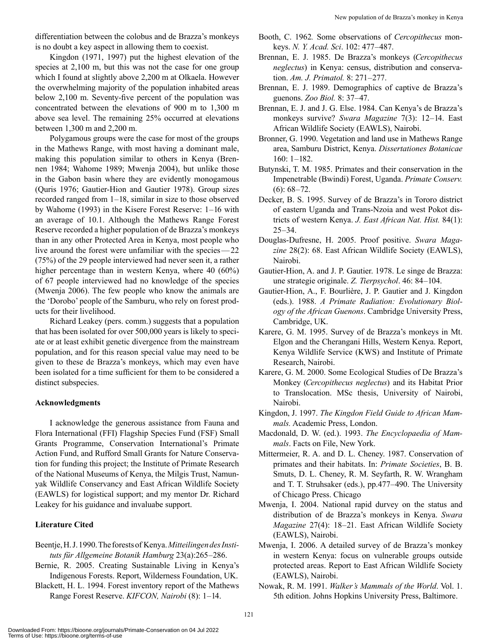differentiation between the colobus and de Brazza's monkeys is no doubt a key aspect in allowing them to coexist.

Kingdon (1971, 1997) put the highest elevation of the species at 2,100 m, but this was not the case for one group which I found at slightly above 2,200 m at Olkaela. However the overwhelming majority of the population inhabited areas below 2,100 m. Seventy-five percent of the population was concentrated between the elevations of 900 m to 1,300 m above sea level. The remaining 25% occurred at elevations between 1,300 m and 2,200 m.

Polygamous groups were the case for most of the groups in the Mathews Range, with most having a dominant male, making this population similar to others in Kenya (Brennen 1984; Wahome 1989; Mwenja 2004), but unlike those in the Gabon basin where they are evidently monogamous (Quris 1976; Gautier-Hion and Gautier 1978). Group sizes recorded ranged from 1–18, similar in size to those observed by Wahome (1993) in the Kisere Forest Reserve: 1–16 with an average of 10.1. Although the Mathews Range Forest Reserve recorded a higher population of de Brazza's monkeys than in any other Protected Area in Kenya, most people who live around the forest were unfamiliar with the species—22 (75%) of the 29 people interviewed had never seen it, a rather higher percentage than in western Kenya, where 40 (60%) of 67 people interviewed had no knowledge of the species (Mwenja 2006). The few people who know the animals are the 'Dorobo' people of the Samburu, who rely on forest products for their livelihood.

Richard Leakey (pers. comm.) suggests that a population that has been isolated for over 500,000 years is likely to speciate or at least exhibit genetic divergence from the mainstream population, and for this reason special value may need to be given to these de Brazza's monkeys, which may even have been isolated for a time sufficient for them to be considered a distinct subspecies.

#### **Acknowledgments**

I acknowledge the generous assistance from Fauna and Flora International (FFI) Flagship Species Fund (FSF) Small Grants Programme, Conservation International's Primate Action Fund, and Rufford Small Grants for Nature Conservation for funding this project; the Institute of Primate Research of the National Museums of Kenya, the Milgis Trust, Namunyak Wildlife Conservancy and East African Wildlife Society (EAWLS) for logistical support; and my mentor Dr. Richard Leakey for his guidance and invaluabe support.

#### **Literature Cited**

- Beentje, H. J. 1990. The forests of Kenya. *Mitteilingen des Instituts für Allgemeine Botanik Hamburg* 23(a):265–286.
- Bernie, R. 2005. Creating Sustainable Living in Kenya's Indigenous Forests. Report, Wilderness Foundation, UK.
- Blackett, H. L. 1994. Forest inventory report of the Mathews Range Forest Reserve. *KIFCON, Nairobi* (8): 1–14.
- Booth, C. 1962*.* Some observations of *Cercopithecus* monkeys. *N. Y. Acad. Sci*. 102: 477–487.
- Brennan, E. J. 1985. De Brazza's monkeys (*Cercopithecus neglectus*) in Kenya: census, distribution and conservation. *Am. J. Primatol.* 8: 271–277.
- Brennan, E. J. 1989. Demographics of captive de Brazza's guenons. *Zoo Biol.* 8: 37–47.
- Brennan, E. J. and J. G. Else. 1984. Can Kenya's de Brazza's monkeys survive? *Swara Magazine* 7(3): 12–14. East African Wildlife Society (EAWLS), Nairobi.
- Bronner, G. 1990. Vegetation and land use in Mathews Range area, Samburu District, Kenya. *Dissertationes Botanicae* 160: 1–182.
- Butynski, T. M. 1985. Primates and their conservation in the Impenetrable (Bwindi) Forest, Uganda. *Primate Conserv.* (6): 68–72.
- Decker, B. S. 1995. Survey of de Brazza's in Tororo district of eastern Uganda and Trans-Nzoia and west Pokot districts of western Kenya. *J. East African Nat. Hist.* 84(1):  $25 - 34.$
- Douglas-Dufresne, H. 2005. Proof positive. *Swara Magazine* 28(2): 68. East African Wildlife Society (EAWLS), Nairobi.
- Gautier-Hion, A. and J. P. Gautier. 1978. Le singe de Brazza: une strategie originale. *Z. Tierpsychol*. 46: 84–104.
- Gautier-Hion, A., F. Bourlière, J. P. Gautier and J. Kingdon (eds.). 1988. *A Primate Radiation: Evolutionary Biology of the African Guenons*. Cambridge University Press, Cambridge, UK.
- Karere, G. M. 1995. Survey of de Brazza's monkeys in Mt. Elgon and the Cherangani Hills, Western Kenya. Report, Kenya Wildlife Service (KWS) and Institute of Primate Research, Nairobi.
- Karere, G. M. 2000. Some Ecological Studies of De Brazza's Monkey (*Cercopithecus neglectus*) and its Habitat Prior to Translocation. MSc thesis, University of Nairobi, Nairobi.
- Kingdon, J. 1997. *The Kingdon Field Guide to African Mammals.* Academic Press, London.
- Macdonald, D. W. (ed.). 1993. *The Encyclopaedia of Mammals*. Facts on File, New York.
- Mittermeier, R. A. and D. L. Cheney. 1987. Conservation of primates and their habitats. In: *Primate Societies*, B. B. Smuts, D. L. Cheney, R. M. Seyfarth, R. W. Wrangham and T. T. Struhsaker (eds.), pp.477–490. The University of Chicago Press. Chicago
- Mwenja, I. 2004. National rapid durvey on the status and distribution of de Brazza's monkeys in Kenya. *Swara Magazine* 27(4): 18–21. East African Wildlife Society (EAWLS), Nairobi.
- Mwenja, I. 2006. A detailed survey of de Brazza's monkey in western Kenya: focus on vulnerable groups outside protected areas. Report to East African Wildlife Society (EAWLS), Nairobi.
- Nowak, R. M. 1991. *Walker's Mammals of the World*. Vol. 1. 5th edition. Johns Hopkins University Press, Baltimore.